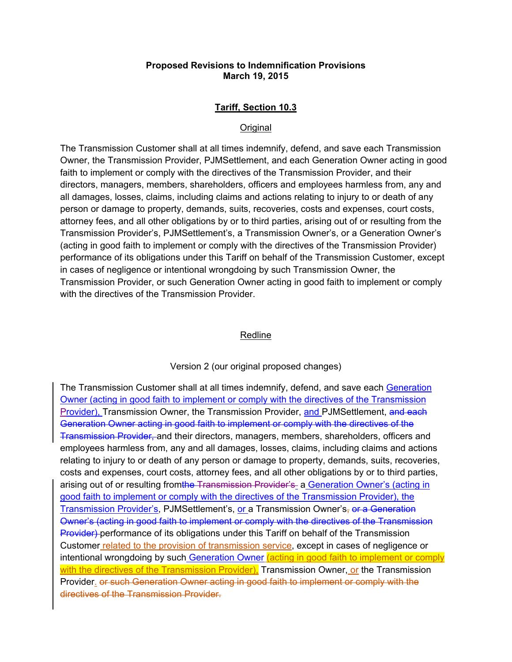# **Proposed Revisions to Indemnification Provisions March 19, 2015**

# **Tariff, Section 10.3**

### **Original**

The Transmission Customer shall at all times indemnify, defend, and save each Transmission Owner, the Transmission Provider, PJMSettlement, and each Generation Owner acting in good faith to implement or comply with the directives of the Transmission Provider, and their directors, managers, members, shareholders, officers and employees harmless from, any and all damages, losses, claims, including claims and actions relating to injury to or death of any person or damage to property, demands, suits, recoveries, costs and expenses, court costs, attorney fees, and all other obligations by or to third parties, arising out of or resulting from the Transmission Provider's, PJMSettlement's, a Transmission Owner's, or a Generation Owner's (acting in good faith to implement or comply with the directives of the Transmission Provider) performance of its obligations under this Tariff on behalf of the Transmission Customer, except in cases of negligence or intentional wrongdoing by such Transmission Owner, the Transmission Provider, or such Generation Owner acting in good faith to implement or comply with the directives of the Transmission Provider.

#### Redline

#### Version 2 (our original proposed changes)

The Transmission Customer shall at all times indemnify, defend, and save each Generation Owner (acting in good faith to implement or comply with the directives of the Transmission Provider), Transmission Owner, the Transmission Provider, and PJMSettlement, and each Generation Owner acting in good faith to implement or comply with the directives of the Transmission Provider, and their directors, managers, members, shareholders, officers and employees harmless from, any and all damages, losses, claims, including claims and actions relating to injury to or death of any person or damage to property, demands, suits, recoveries, costs and expenses, court costs, attorney fees, and all other obligations by or to third parties, arising out of or resulting fromthe Transmission Provider's a Generation Owner's (acting in good faith to implement or comply with the directives of the Transmission Provider), the Transmission Provider's, PJMSettlement's, or a Transmission Owner's, or a Generation Owner's (acting in good faith to implement or comply with the directives of the Transmission Provider) performance of its obligations under this Tariff on behalf of the Transmission Customer related to the provision of transmission service, except in cases of negligence or intentional wrongdoing by such Generation Owner (acting in good faith to implement or comply with the directives of the Transmission Provider), Transmission Owner, or the Transmission Provider. or such Generation Owner acting in good faith to implement or comply with the directives of the Transmission Provider.